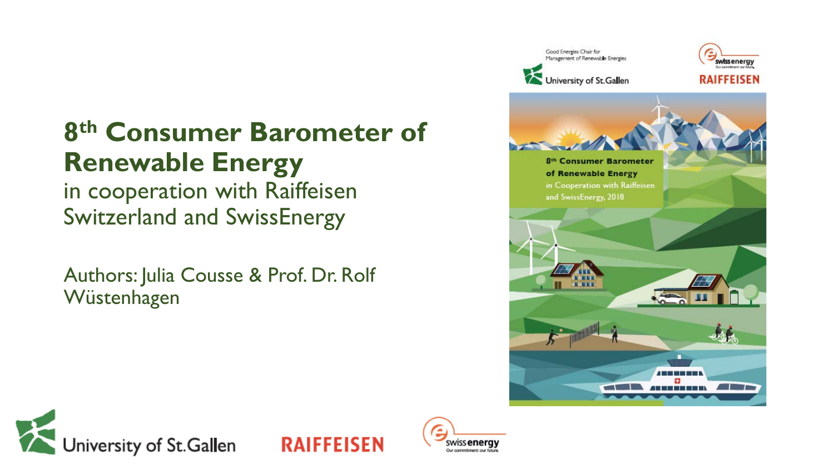#### **8th Consumer Barometer of Renewable Energy**

in cooperation with Raiffeisen Switzerland and SwissEnergy

Authors: Julia Cousse & Prof. Dr. Rolf Wüstenhagen





**RAIFFEISEN** swiss **energy** Our commitment our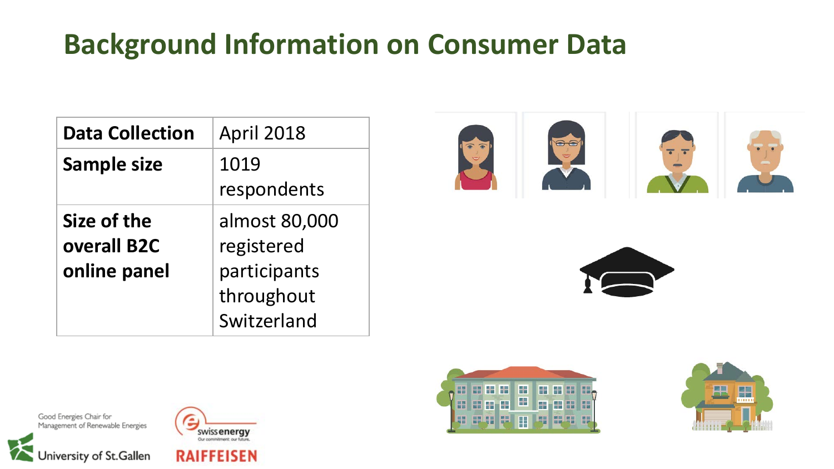# **Background Information on Consumer Data**

| <b>Data Collection</b> | <b>April 2018</b> |
|------------------------|-------------------|
| <b>Sample size</b>     | 1019              |
|                        | respondents       |
| Size of the            | almost 80,000     |
| overall B2C            | registered        |
| online panel           | participants      |
|                        | throughout        |
|                        | Switzerland       |











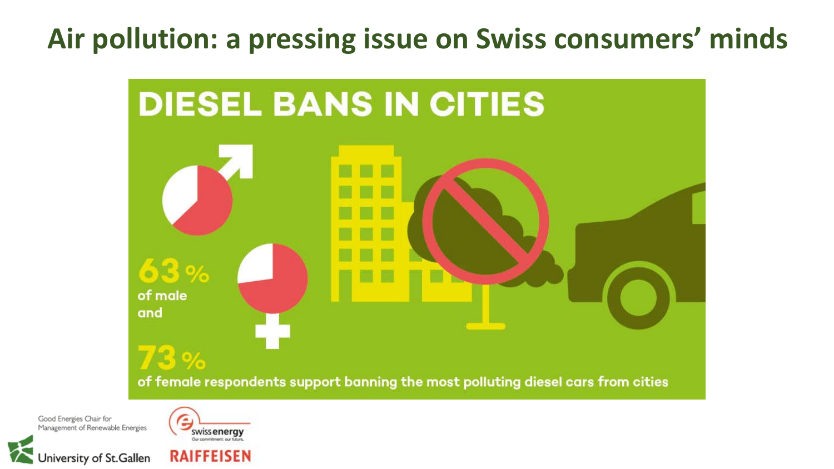# **Air pollution: a pressing issue on Swiss consumers' minds**





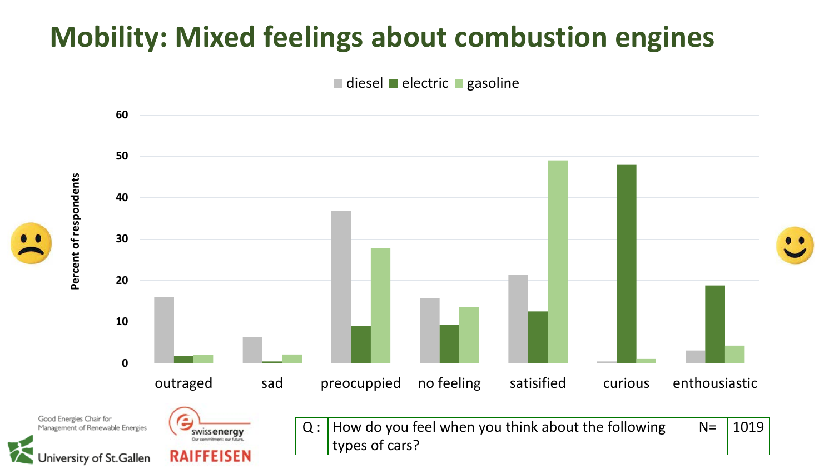# **Mobility: Mixed feelings about combustion engines**

 $\blacksquare$  diesel  $\blacksquare$  electric  $\blacksquare$  gasoline

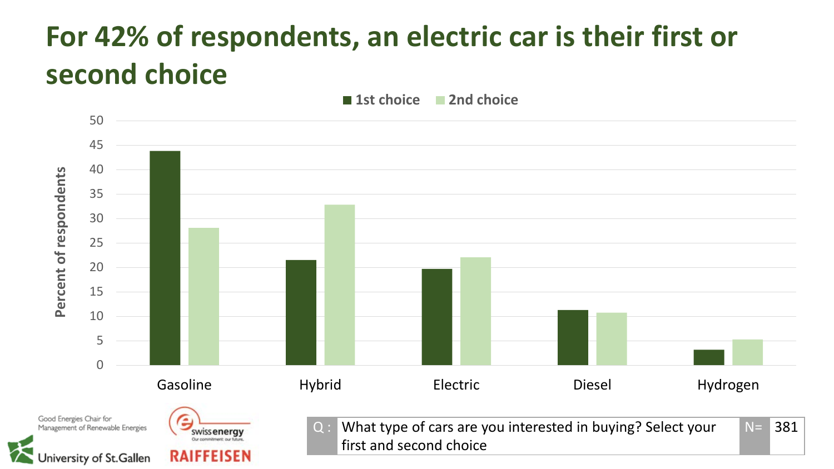# **For 42% of respondents, an electric car is their first or second choice**

**1st choice 2nd choice**

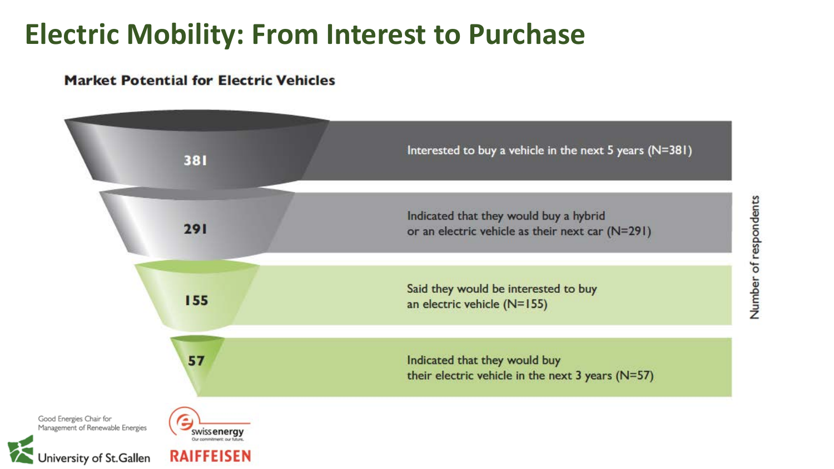#### **Electric Mobility: From Interest to Purchase**

#### **Market Potential for Electric Vehicles**

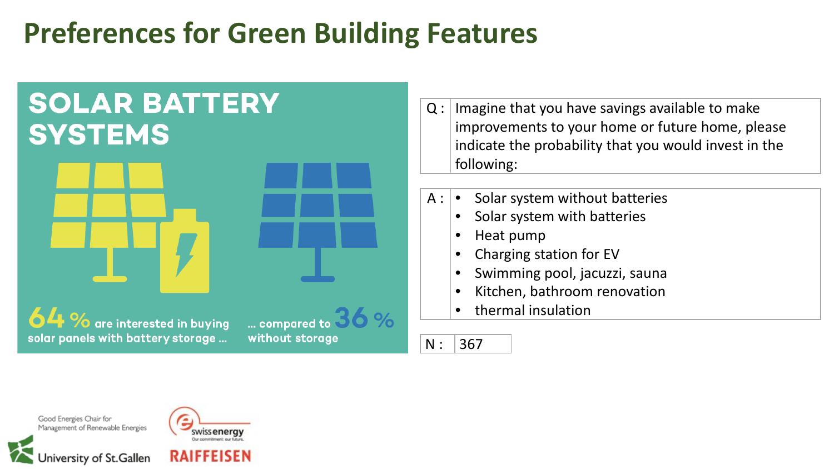## **Preferences for Green Building Features**

# **SOLAR BATTERY SYSTEMS**



64 % are interested in buying solar panels with battery storage ...

... compared to without storage

- $Q:$  Imagine that you have savings available to make improvements to your home or future home, please indicate the probability that you would invest in the following:
- $A: \begin{array}{|c} \bullet \end{array}$  Solar system without batteries
	- Solar system with batteries
	- Heat pump
	- Charging station for EV
	- Swimming pool, jacuzzi, sauna
	- Kitchen, bathroom renovation
	- thermal insulation

|--|



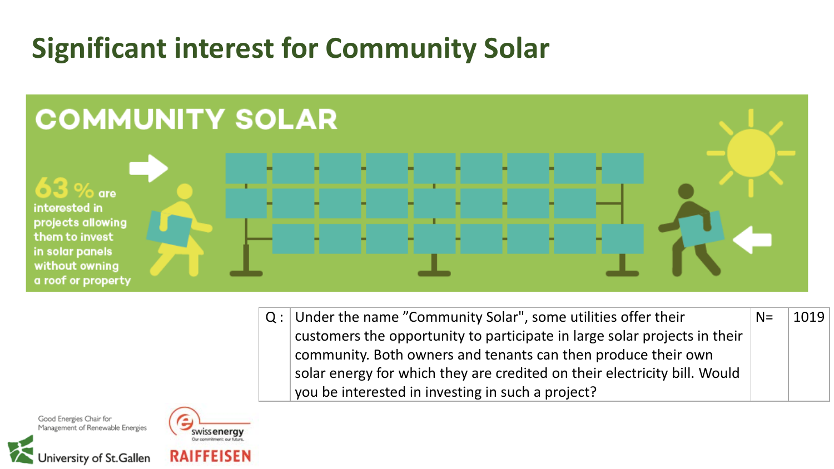# **Significant interest for Community Solar**



Q : Under the name "Community Solar", some utilities offer their customers the opportunity to participate in large solar projects in their community. Both owners and tenants can then produce their own solar energy for which they are credited on their electricity bill. Would you be interested in investing in such a project?  $N = | 1019$ 



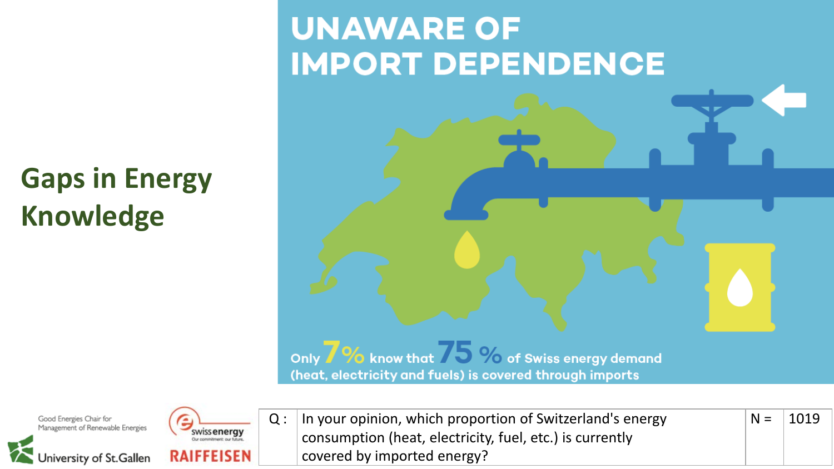# **Gaps in Energy Knowledge**

# **UNAWARE OF IMPORT DEPENDENCE**

Only 7 % know that 7 5 % of Swiss energy demand (heat, electricity and fuels) is covered through imports

Good Energies Chair for Management of Renewable Energies





 $Q: \Box$  In your opinion, which proportion of Switzerland's energy consumption (heat, electricity, fuel, etc.) is currently covered by imported energy?  $N = | 1019$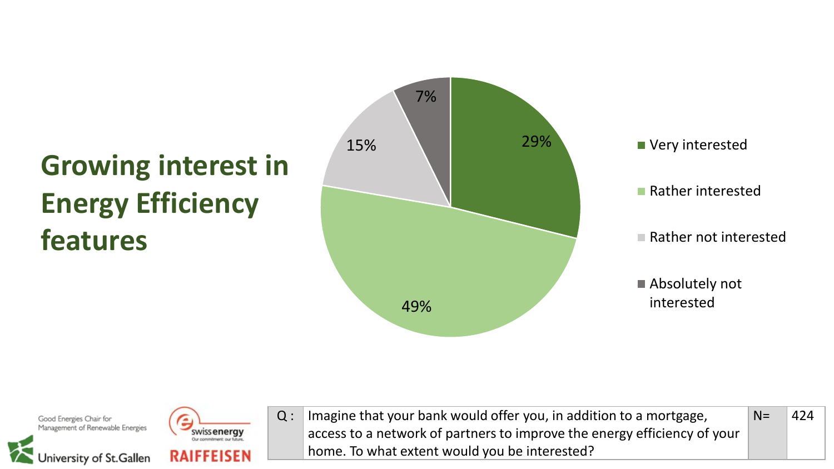# **Growing interest in Energy Efficiency features**



Good Energies Chair for Management of Renewable Energies

University of St.Gallen



Q : | Imagine that your bank would offer you, in addition to a mortgage, access to a network of partners to improve the energy efficiency of your home. To what extent would you be interested?  $N = \frac{1424}{ }$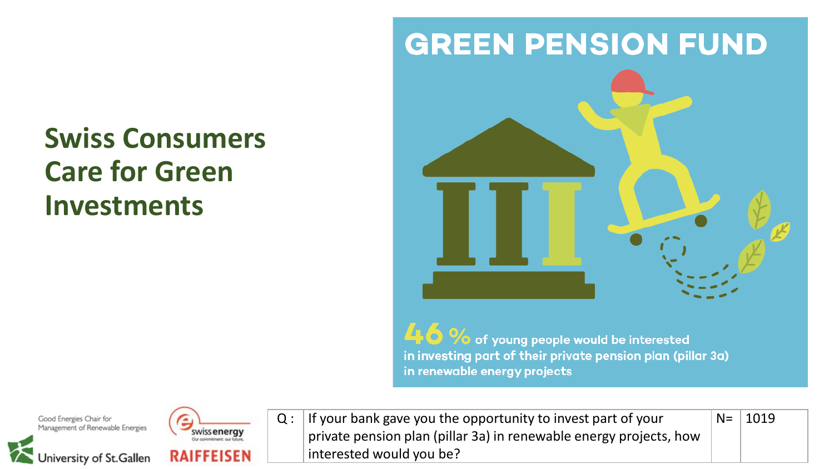# **Swiss Consumers Care for Green Investments**

## **GREEN PENSION FUND**



46 % of young people would be interested in investing part of their private pension plan (pillar 3a) in renewable energy projects

Good Energies Chair for Management of Renewable Energies





 $Q:$  If your bank gave you the opportunity to invest part of your private pension plan (pillar 3a) in renewable energy projects, how interested would you be?  $N = 1019$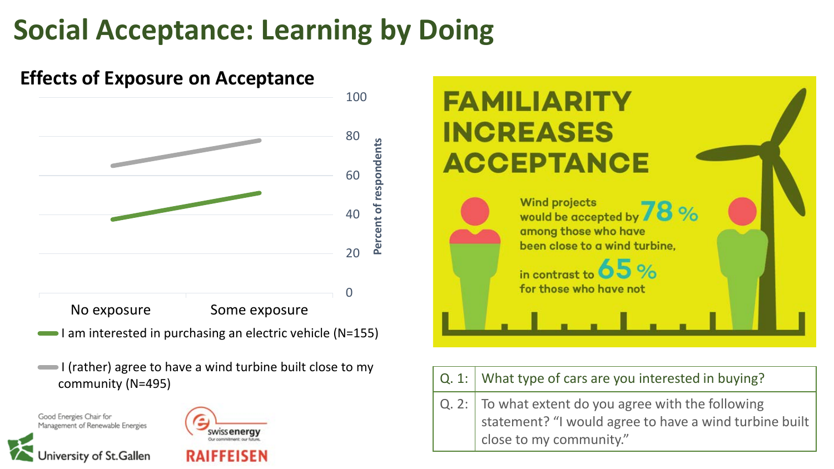# **Social Acceptance: Learning by Doing**



I (rather) agree to have a wind turbine built close to my







| $\vert$ Q. 2: $\vert$ To what extent do you agree with the following                                | <b>ThatTCT, as CC to have a will a carbine band close to my</b><br>community (N=495) | $\mid$ Q. 1: $\mid$ What type of cars are you interested in buying? |
|-----------------------------------------------------------------------------------------------------|--------------------------------------------------------------------------------------|---------------------------------------------------------------------|
| ement of Renewable Energies<br>swissenergy<br>close to my community."<br>Our commitment: our future | $\widehat{\mathbf{r}}$<br>Energies Chair for                                         | statement? "I would agree to have a wind turbine built              |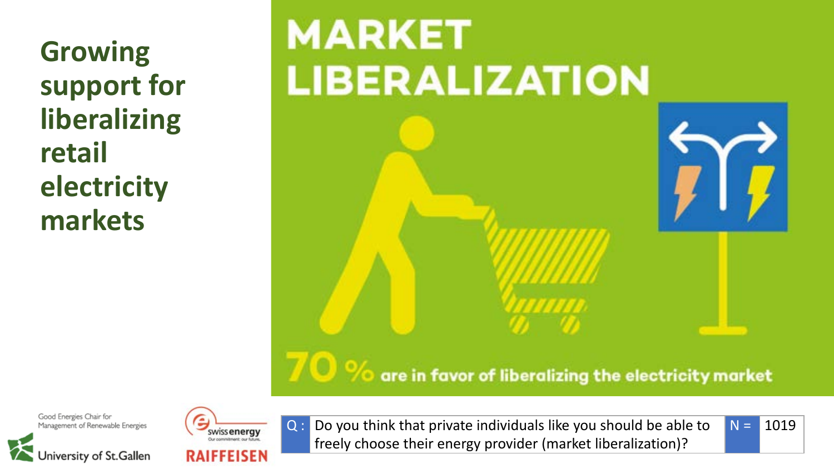**Growing support for liberalizing retail electricity markets**

# **MARKET LIBERALIZATION**

#### are in favor of liberalizing the electricity market

Good Energies Chair for Management of Renewable Energies





Q : Do you think that private individuals like you should be able to freely choose their energy provider (market liberalization)?  $N = 1019$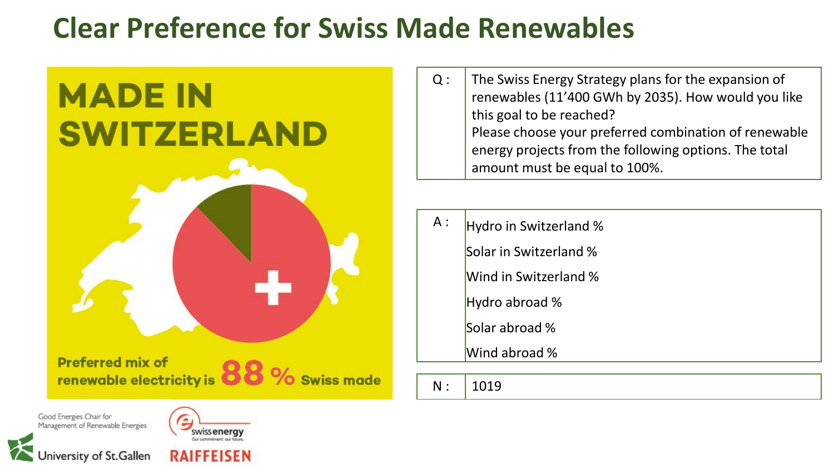#### **Clear Preference for Swiss Made Renewables**

# **MADE IN SWITZERLA**

**Preferred mix of** renewable electricity is 88 % Swiss made

Good Energies Chair for Management of Renewable Energies

**Jniversity of St.Gallen** 



Q : The Swiss Energy Strategy plans for the expansion of renewables (11'400 GWh by 2035). How would you like this goal to be reached? Please choose your preferred combination of renewable energy projects from the following options. The total amount must be equal to 100%.

| $A$ : | Hydro in Switzerland % |
|-------|------------------------|
|       | Solar in Switzerland % |
|       | Wind in Switzerland %  |
|       | Hydro abroad %         |
|       | Solar abroad %         |
|       | Wind abroad %          |

 $N: 1019$